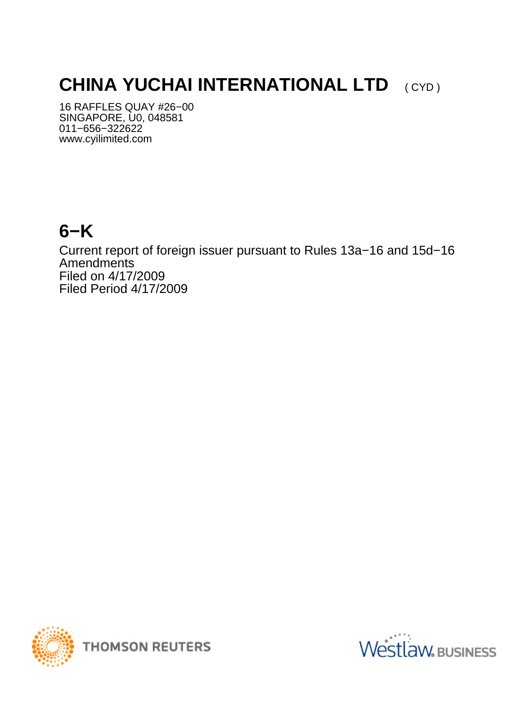# **CHINA YUCHAI INTERNATIONAL LTD** (CYD)

16 RAFFLES QUAY #26−00 SINGAPORE, U0, 048581 011−656−322622 www.cyilimited.com

## **6−K**

Current report of foreign issuer pursuant to Rules 13a−16 and 15d−16 Amendments Filed on 4/17/2009 Filed Period 4/17/2009



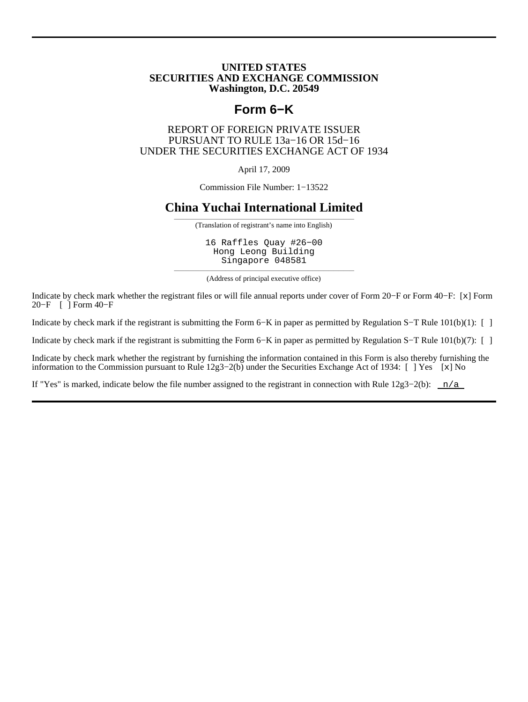#### **UNITED STATES SECURITIES AND EXCHANGE COMMISSION Washington, D.C. 20549**

## **Form 6−K**

#### REPORT OF FOREIGN PRIVATE ISSUER PURSUANT TO RULE 13a−16 OR 15d−16 UNDER THE SECURITIES EXCHANGE ACT OF 1934

April 17, 2009

Commission File Number: 1−13522

### **China Yuchai International Limited**

——————————————————————————————————— (Translation of registrant's name into English)

16 Raffles Quay #26−00 Hong Leong Building Singapore 048581

——————————————————————————————————— (Address of principal executive office)

Indicate by check mark whether the registrant files or will file annual reports under cover of Form 20−F or Form 40−F: [x] Form 20−F [ ] Form 40−F

Indicate by check mark if the registrant is submitting the Form 6−K in paper as permitted by Regulation S−T Rule 101(b)(1): [ ]

Indicate by check mark if the registrant is submitting the Form 6−K in paper as permitted by Regulation S−T Rule 101(b)(7): [ ]

Indicate by check mark whether the registrant by furnishing the information contained in this Form is also thereby furnishing the information to the Commission pursuant to Rule 12g3−2(b) under the Securities Exchange Act of 1934: [ ] Yes [x] No

If "Yes" is marked, indicate below the file number assigned to the registrant in connection with Rule  $12g3-2(b)$ : n/a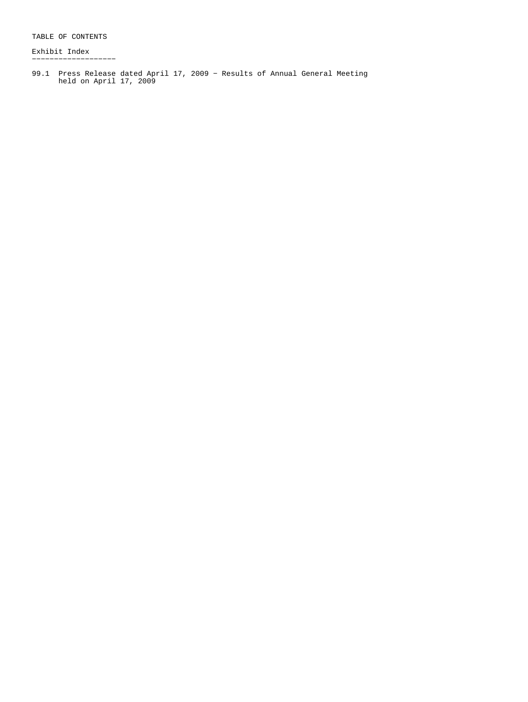TABLE OF CONTENTS

Exhibit Index −−−−−−−−−−−−−−−−−−−

99.1 Press Release dated April 17, 2009 − Results of Annual General Meeting held on April 17, 2009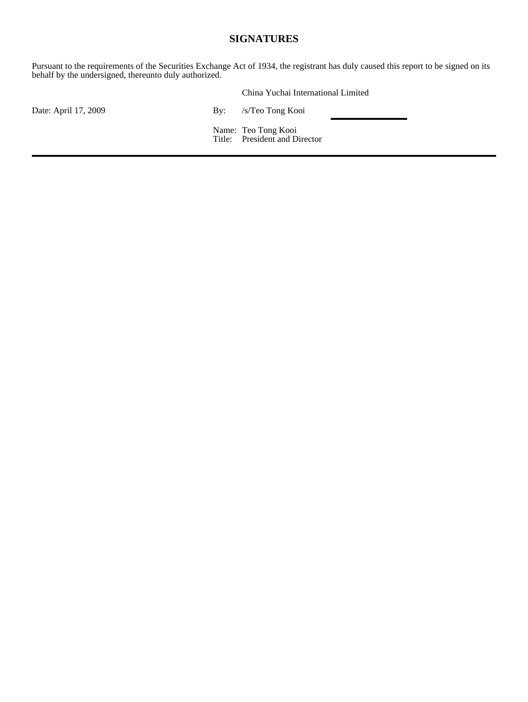### **SIGNATURES**

Pursuant to the requirements of the Securities Exchange Act of 1934, the registrant has duly caused this report to be signed on its behalf by the undersigned, thereunto duly authorized.

|                      | China Yuchai International Limited                   |
|----------------------|------------------------------------------------------|
| Date: April 17, 2009 | By: /s/Teo Tong Kooi                                 |
|                      | Name: Teo Tong Kooi<br>Title: President and Director |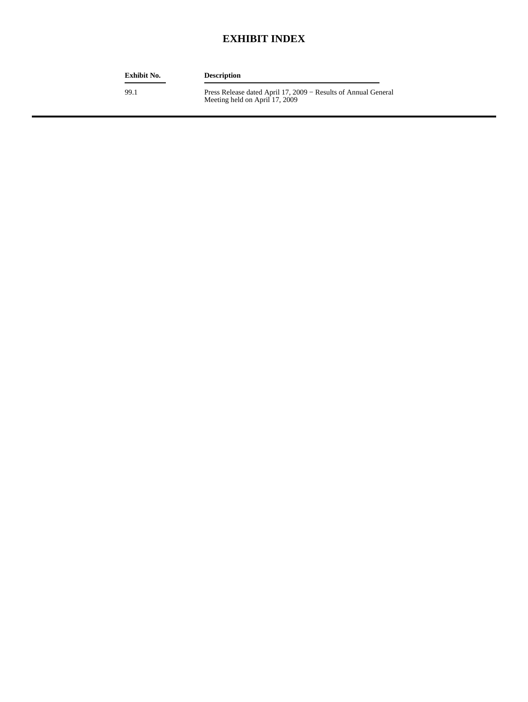## **EXHIBIT INDEX**

| <b>Exhibit No.</b> | <b>Description</b>                                                                               |
|--------------------|--------------------------------------------------------------------------------------------------|
| 99.1               | Press Release dated April 17, 2009 – Results of Annual General<br>Meeting held on April 17, 2009 |